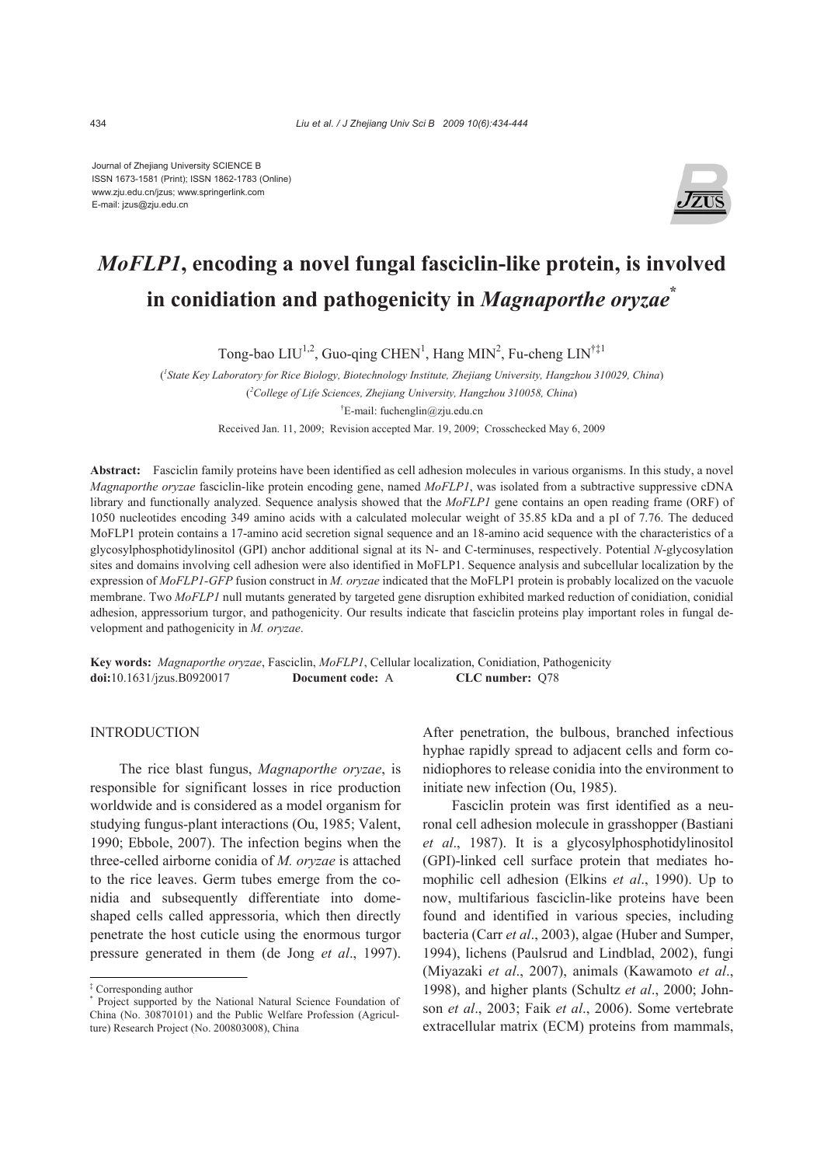Journal of Zhejiang University SCIENCE B ISSN 1673-1581 (Print); ISSN 1862-1783 (Online) www.zju.edu.cn/jzus; www.springerlink.com E-mail: jzus@zju.edu.cn



# *MoFLP1***, encoding a novel fungal fasciclin-like protein, is involved in conidiation and pathogenicity in** *Magnaporthe oryzae***\***

Tong-bao  $LIU^{1,2}$ , Guo-qing CHEN<sup>1</sup>, Hang MIN<sup>2</sup>, Fu-cheng  $LIN^{\dagger\ddagger 1}$ 

( *1 State Key Laboratory for Rice Biology, Biotechnology Institute, Zhejiang University, Hangzhou 310029, China*) ( *2 College of Life Sciences, Zhejiang University, Hangzhou 310058, China*)

† E-mail: fuchenglin@zju.edu.cn

Received Jan. 11, 2009; Revision accepted Mar. 19, 2009; Crosschecked May 6, 2009

**Abstract:** Fasciclin family proteins have been identified as cell adhesion molecules in various organisms. In this study, a novel *Magnaporthe oryzae* fasciclin-like protein encoding gene, named *MoFLP1*, was isolated from a subtractive suppressive cDNA library and functionally analyzed. Sequence analysis showed that the *MoFLP1* gene contains an open reading frame (ORF) of 1050 nucleotides encoding 349 amino acids with a calculated molecular weight of 35.85 kDa and a pI of 7.76. The deduced MoFLP1 protein contains a 17-amino acid secretion signal sequence and an 18-amino acid sequence with the characteristics of a glycosylphosphotidylinositol (GPI) anchor additional signal at its N- and C-terminuses, respectively. Potential *N*-glycosylation sites and domains involving cell adhesion were also identified in MoFLP1. Sequence analysis and subcellular localization by the expression of *MoFLP1-GFP* fusion construct in *M. oryzae* indicated that the MoFLP1 protein is probably localized on the vacuole membrane. Two *MoFLP1* null mutants generated by targeted gene disruption exhibited marked reduction of conidiation, conidial adhesion, appressorium turgor, and pathogenicity. Our results indicate that fasciclin proteins play important roles in fungal development and pathogenicity in *M. oryzae*.

**Key words:** *Magnaporthe oryzae*, Fasciclin, *MoFLP1*, Cellular localization, Conidiation, Pathogenicity **doi:**10.1631/jzus.B0920017 **Document code:** A **CLC number:** Q78

### **INTRODUCTION**

The rice blast fungus, *Magnaporthe oryzae*, is responsible for significant losses in rice production worldwide and is considered as a model organism for studying fungus-plant interactions (Ou, 1985; Valent, 1990; Ebbole, 2007). The infection begins when the three-celled airborne conidia of *M. oryzae* is attached to the rice leaves. Germ tubes emerge from the conidia and subsequently differentiate into domeshaped cells called appressoria, which then directly penetrate the host cuticle using the enormous turgor pressure generated in them (de Jong *et al*., 1997).

After penetration, the bulbous, branched infectious hyphae rapidly spread to adjacent cells and form conidiophores to release conidia into the environment to initiate new infection (Ou, 1985).

Fasciclin protein was first identified as a neuronal cell adhesion molecule in grasshopper (Bastiani *et al*., 1987). It is a glycosylphosphotidylinositol (GPI)-linked cell surface protein that mediates homophilic cell adhesion (Elkins *et al*., 1990). Up to now, multifarious fasciclin-like proteins have been found and identified in various species, including bacteria (Carr *et al*., 2003), algae (Huber and Sumper, 1994), lichens (Paulsrud and Lindblad, 2002), fungi (Miyazaki *et al*., 2007), animals (Kawamoto *et al*., 1998), and higher plants (Schultz *et al*., 2000; Johnson *et al*., 2003; Faik *et al*., 2006). Some vertebrate extracellular matrix (ECM) proteins from mammals,

<sup>‡</sup> Corresponding author

<sup>\*</sup> Project supported by the National Natural Science Foundation of China (No. 30870101) and the Public Welfare Profession (Agriculture) Research Project (No. 200803008), China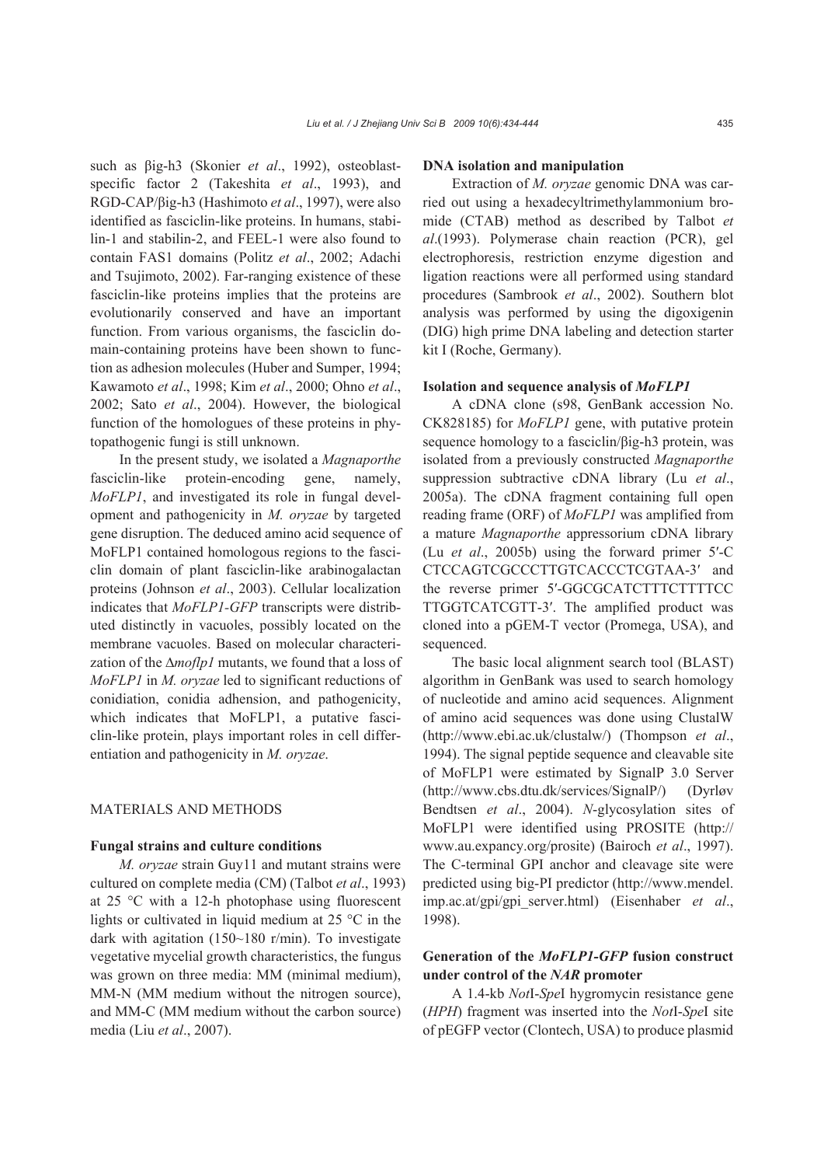such as βig-h3 (Skonier *et al*., 1992), osteoblastspecific factor 2 (Takeshita *et al*., 1993), and RGD-CAP/βig-h3 (Hashimoto *et al*., 1997), were also identified as fasciclin-like proteins. In humans, stabilin-1 and stabilin-2, and FEEL-1 were also found to contain FAS1 domains (Politz *et al*., 2002; Adachi and Tsujimoto, 2002). Far-ranging existence of these fasciclin-like proteins implies that the proteins are evolutionarily conserved and have an important function. From various organisms, the fasciclin domain-containing proteins have been shown to function as adhesion molecules (Huber and Sumper, 1994; Kawamoto *et al*., 1998; Kim *et al*., 2000; Ohno *et al*., 2002; Sato *et al*., 2004). However, the biological function of the homologues of these proteins in phytopathogenic fungi is still unknown.

In the present study, we isolated a *Magnaporthe*  fasciclin-like protein-encoding gene, namely, *MoFLP1*, and investigated its role in fungal development and pathogenicity in *M. oryzae* by targeted gene disruption. The deduced amino acid sequence of MoFLP1 contained homologous regions to the fasciclin domain of plant fasciclin-like arabinogalactan proteins (Johnson *et al*., 2003). Cellular localization indicates that *MoFLP1-GFP* transcripts were distributed distinctly in vacuoles, possibly located on the membrane vacuoles. Based on molecular characterization of the ∆*moflp1* mutants, we found that a loss of *MoFLP1* in *M. oryzae* led to significant reductions of conidiation, conidia adhension, and pathogenicity, which indicates that MoFLP1, a putative fasciclin-like protein, plays important roles in cell differentiation and pathogenicity in *M. oryzae*.

## MATERIALS AND METHODS

#### **Fungal strains and culture conditions**

*M. oryzae* strain Guy11 and mutant strains were cultured on complete media (CM) (Talbot *et al*., 1993) at 25 °C with a 12-h photophase using fluorescent lights or cultivated in liquid medium at 25 °C in the dark with agitation (150~180 r/min). To investigate vegetative mycelial growth characteristics, the fungus was grown on three media: MM (minimal medium), MM-N (MM medium without the nitrogen source), and MM-C (MM medium without the carbon source) media (Liu *et al*., 2007).

#### **DNA isolation and manipulation**

Extraction of *M. oryzae* genomic DNA was carried out using a hexadecyltrimethylammonium bromide (CTAB) method as described by Talbot *et al*.(1993). Polymerase chain reaction (PCR), gel electrophoresis, restriction enzyme digestion and ligation reactions were all performed using standard procedures (Sambrook *et al*., 2002). Southern blot analysis was performed by using the digoxigenin (DIG) high prime DNA labeling and detection starter kit I (Roche, Germany).

#### **Isolation and sequence analysis of** *MoFLP1*

A cDNA clone (s98, GenBank accession No. CK828185) for *MoFLP1* gene, with putative protein sequence homology to a fasciclin/βig-h3 protein, was isolated from a previously constructed *Magnaporthe*  suppression subtractive cDNA library (Lu *et al*., 2005a). The cDNA fragment containing full open reading frame (ORF) of *MoFLP1* was amplified from a mature *Magnaporthe* appressorium cDNA library (Lu *et al*., 2005b) using the forward primer 5′-C CTCCAGTCGCCCTTGTCACCCTCGTAA-3′ and the reverse primer 5'-GGCGCATCTTTCTTTTCC TTGGTCATCGTT-3′. The amplified product was cloned into a pGEM-T vector (Promega, USA), and sequenced.

The basic local alignment search tool (BLAST) algorithm in GenBank was used to search homology of nucleotide and amino acid sequences. Alignment of amino acid sequences was done using ClustalW (http://www.ebi.ac.uk/clustalw/) (Thompson *et al*., 1994). The signal peptide sequence and cleavable site of MoFLP1 were estimated by SignalP 3.0 Server (http://www.cbs.dtu.dk/services/SignalP/) (Dyrløv Bendtsen *et al*., 2004). *N*-glycosylation sites of MoFLP1 were identified using PROSITE (http:// www.au.expancy.org/prosite) (Bairoch *et al*., 1997). The C-terminal GPI anchor and cleavage site were predicted using big-PI predictor (http://www.mendel. imp.ac.at/gpi/gpi\_server.html) (Eisenhaber *et al*., 1998).

# **Generation of the** *MoFLP1-GFP* **fusion construct under control of the** *NAR* **promoter**

A 1.4-kb *Not*I-*Spe*I hygromycin resistance gene (*HPH*) fragment was inserted into the *Not*I-*Spe*I site of pEGFP vector (Clontech, USA) to produce plasmid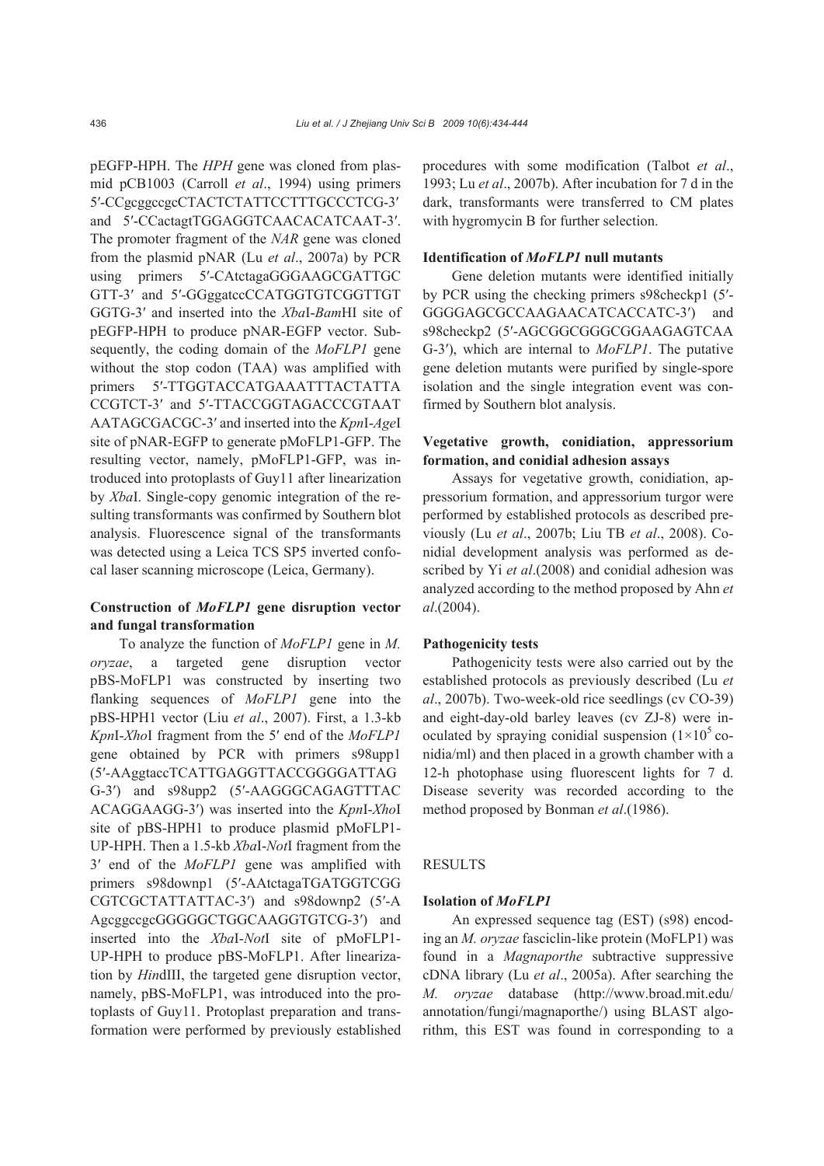pEGFP-HPH. The *HPH* gene was cloned from plasmid pCB1003 (Carroll *et al*., 1994) using primers 5′-CCgcggccgcCTACTCTATTCCTTTGCCCTCG-3′ and 5′-CCactagtTGGAGGTCAACACATCAAT-3′. The promoter fragment of the *NAR* gene was cloned from the plasmid pNAR (Lu *et al*., 2007a) by PCR using primers 5′-CAtctagaGGGAAGCGATTGC GTT-3′ and 5′-GGggatccCCATGGTGTCGGTTGT GGTG-3′ and inserted into the *Xba*I-*Bam*HI site of pEGFP-HPH to produce pNAR-EGFP vector. Subsequently, the coding domain of the *MoFLP1* gene without the stop codon (TAA) was amplified with primers 5′-TTGGTACCATGAAATTTACTATTA CCGTCT-3′ and 5′-TTACCGGTAGACCCGTAAT AATAGCGACGC-3′ and inserted into the *Kpn*I-*Age*I site of pNAR-EGFP to generate pMoFLP1-GFP. The resulting vector, namely, pMoFLP1-GFP, was introduced into protoplasts of Guy11 after linearization by *Xba*I. Single-copy genomic integration of the resulting transformants was confirmed by Southern blot analysis. Fluorescence signal of the transformants was detected using a Leica TCS SP5 inverted confocal laser scanning microscope (Leica, Germany).

# **Construction of** *MoFLP1* **gene disruption vector and fungal transformation**

To analyze the function of *MoFLP1* gene in *M. oryzae*, a targeted gene disruption vector pBS-MoFLP1 was constructed by inserting two flanking sequences of *MoFLP1* gene into the pBS-HPH1 vector (Liu *et al*., 2007). First, a 1.3-kb *Kpn*I-*Xho*I fragment from the 5′ end of the *MoFLP1* gene obtained by PCR with primers s98upp1 (5′-AAggtaccTCATTGAGGTTACCGGGGATTAG G-3′) and s98upp2 (5′-AAGGGCAGAGTTTAC ACAGGAAGG-3′) was inserted into the *Kpn*I-*Xho*I site of pBS-HPH1 to produce plasmid pMoFLP1- UP-HPH. Then a 1.5-kb *Xba*I-*Not*I fragment from the 3′ end of the *MoFLP1* gene was amplified with primers s98downp1 (5′-AAtctagaTGATGGTCGG CGTCGCTATTATTAC-3′) and s98downp2 (5′-A AgcggccgcGGGGGCTGGCAAGGTGTCG-3′) and inserted into the *Xba*I-*Not*I site of pMoFLP1- UP-HPH to produce pBS-MoFLP1. After linearization by *Hin*dIII, the targeted gene disruption vector, namely, pBS-MoFLP1, was introduced into the protoplasts of Guy11. Protoplast preparation and transformation were performed by previously established procedures with some modification (Talbot *et al*., 1993; Lu *et al*., 2007b). After incubation for 7 d in the dark, transformants were transferred to CM plates with hygromycin B for further selection.

#### **Identification of** *MoFLP1* **null mutants**

Gene deletion mutants were identified initially by PCR using the checking primers s98checkp1 (5′- GGGGAGCGCCAAGAACATCACCATC-3′) and s98checkp2 (5′-AGCGGCGGGCGGAAGAGTCAA G-3′), which are internal to *MoFLP1*. The putative gene deletion mutants were purified by single-spore isolation and the single integration event was confirmed by Southern blot analysis.

# **Vegetative growth, conidiation, appressorium formation, and conidial adhesion assays**

Assays for vegetative growth, conidiation, appressorium formation, and appressorium turgor were performed by established protocols as described previously (Lu *et al*., 2007b; Liu TB *et al*., 2008). Conidial development analysis was performed as described by Yi *et al*.(2008) and conidial adhesion was analyzed according to the method proposed by Ahn *et al*.(2004).

### **Pathogenicity tests**

Pathogenicity tests were also carried out by the established protocols as previously described (Lu *et al*., 2007b). Two-week-old rice seedlings (cv CO-39) and eight-day-old barley leaves (cv ZJ-8) were inoculated by spraying conidial suspension  $(1\times10^5 \text{ co-}$ nidia/ml) and then placed in a growth chamber with a 12-h photophase using fluorescent lights for 7 d. Disease severity was recorded according to the method proposed by Bonman *et al*.(1986).

#### **RESULTS**

#### **Isolation of** *MoFLP1*

An expressed sequence tag (EST) (s98) encoding an *M. oryzae* fasciclin-like protein (MoFLP1) was found in a *Magnaporthe* subtractive suppressive cDNA library (Lu *et al*., 2005a). After searching the *M. oryzae* database (http://www.broad.mit.edu/ annotation/fungi/magnaporthe/) using BLAST algorithm, this EST was found in corresponding to a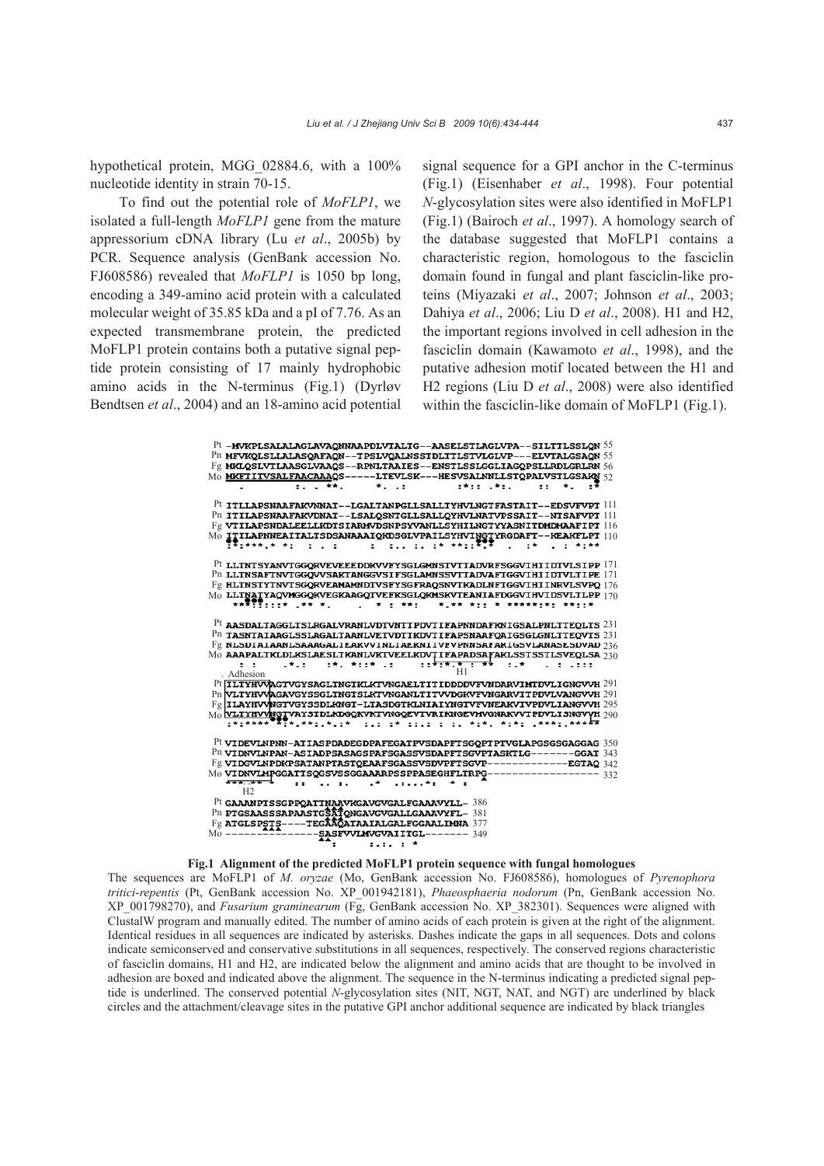hypothetical protein, MGG\_02884.6, with a 100% nucleotide identity in strain 70-15.

To find out the potential role of *MoFLP1*, we isolated a full-length *MoFLP1* gene from the mature appressorium cDNA library (Lu *et al*., 2005b) by PCR. Sequence analysis (GenBank accession No. FJ608586) revealed that *MoFLP1* is 1050 bp long, encoding a 349-amino acid protein with a calculated molecular weight of 35.85 kDa and a pI of 7.76. As an expected transmembrane protein, the predicted MoFLP1 protein contains both a putative signal peptide protein consisting of 17 mainly hydrophobic amino acids in the N-terminus (Fig.1) (Dyrløv Bendtsen *et al*., 2004) and an 18-amino acid potential

signal sequence for a GPI anchor in the C-terminus (Fig.1) (Eisenhaber *et al*., 1998). Four potential *N*-glycosylation sites were also identified in MoFLP1 (Fig.1) (Bairoch *et al*., 1997). A homology search of the database suggested that MoFLP1 contains a characteristic region, homologous to the fasciclin domain found in fungal and plant fasciclin-like proteins (Miyazaki *et al*., 2007; Johnson *et al*., 2003; Dahiya *et al*., 2006; Liu D *et al*., 2008). H1 and H2, the important regions involved in cell adhesion in the fasciclin domain (Kawamoto *et al*., 1998), and the putative adhesion motif located between the H1 and H2 regions (Liu D *et al*., 2008) were also identified within the fasciclin-like domain of MoFLP1 (Fig.1).

| ${\rm Pt}$ -mvkPLSALALAGLAVAONNAAPDLVTALTG--AASELSTLAGLVPA--SILTTLSSLON $55$                                                                                   |                                |
|----------------------------------------------------------------------------------------------------------------------------------------------------------------|--------------------------------|
| Pn MFVKQLSLLALASQAFAQN--TPSLVQALNSSTDLTTLSTVLGLVP---ELVTALGSAQN 55                                                                                             |                                |
| $\mathbb{F}_{2}$ MKLQSLVTLAASGLVAAQS--RPNLTAAIES--ENSTLSSLGGLIAGQPSLLRDLGRLRN $56$                                                                             |                                |
| Mo MKETITVSALFAACAAAQS-----LTEVLSK---HESVSALNNLLSTQPALVSTLGSAKN 52                                                                                             |                                |
| $\star$<br>:                                                                                                                                                   | $2*22 - 2*2$ .<br>$\mathbf{H}$ |
|                                                                                                                                                                |                                |
| Pt ITLLAPSNAAFAKVNNAT--LGALTANPGLLSALLTYHVLNGTFASTAIT--EDSVFVPT [1]                                                                                            |                                |
| Pn ITILAPSNAAFAKVDNAT--LSALOSNTGLLSALLOYHVLNATVPSSAIT--NTSAFVPT 111                                                                                            |                                |
| $Fg$ vtilapsndaleellkDTSIARMVDSNPSYVANLLSYHILNGTYYASNITDMDMAAFIPT $116$                                                                                        |                                |
| $\overline{\mathrm{M}_0}$ IIILAPNNEAITALTSDSANAAAIQKDSGLVPAILSYHVINGIYRGDAFT--KEAKFLPT $_{110}$                                                                |                                |
| TRIANALA AI (1 L I ) (1 L ILL IL IA ANIIRTR) (2 LA (2 L AIAA                                                                                                   |                                |
|                                                                                                                                                                |                                |
| $\rm Pt$ lltntsyanviggQRVEVEEEDDKVVFYSGLGMNSTVTTADVRFSGGVIHIIDTVLSIPP $171$                                                                                    |                                |
| Pn LLTNSAFTNVTGGOVVSAKTANGGVSIFSGLAMNSSVTTADVAFTGGVIHIIDTVLTIPE 171                                                                                            |                                |
| $Fg$ HLTNSTYTNVTSGQRVEAMAMNDTVSFYSGFRAQSNVTKADLNFTGGVIHIINRVLSVPQ $176$                                                                                        |                                |
| $_{\rm Mo}$ LLTNATYAQVMGGQKVEGKAAGQTVEFKSGLQKMSKVTEANIAFDGGVIHVIDSVLTLPP $_{170}$                                                                              |                                |
|                                                                                                                                                                |                                |
|                                                                                                                                                                |                                |
| $Pt$ AASDALTAGGLTSLRGALVRANLVDTVNTTPDVTIFAPNNDAFKNIGSALPNLTTEQLTS $231$                                                                                        |                                |
| Pn TASNTAIAAGLSSLAGALTAANLVETVDTTKDVTIFAPSNAAFOAIGSGLGNLTTEOVTS 231                                                                                            |                                |
| $Fg$ NLSDTATAANLSAAAGALTEAKVVTNLTAEKNITVFVPNNSAFAKTGSVLANASESDVAD $236$                                                                                        |                                |
| $_{\rm Mo}$ aaapaltkldlkslaesltkanlvktveelkdvtifapadsafaklsstsstlsveqlsa $_{230}$<br>i studio ditu toditi udi od po <del>totistica int</del> o duto cullo dodo |                                |
| $\mathbf{r}$<br>. Adhesion                                                                                                                                     |                                |
| Pt TLTYHVVAGTVGYSAGLTNGTKLKTVNGAELTITIDDDDVFVNDARVIMTDVLIGNGVVH 291                                                                                            |                                |
| Pn VLTYHVVAGAVGYSSGLTNGTSLKTVNGANLTITVVDGKVFVNGARVITPDVLVANGVVH 291                                                                                            |                                |
| $\mathbb{F}_2$  ILAYHVVNGTVGYSSDLKNGT-LTASDGTKLNIAIYNGTVFVNEAKVIVPDVLIANGVVH 295                                                                               |                                |
| $_{\rm Mo}$ with that $_{\rm MgT}$ vayst dikdgckv kt vng cevt vriknge vav gnak vvt pdvi i sngvyh $_{290}$                                                      |                                |
| :*:**** <sup>****</sup> *:**:.*.:*  :.: :*  ::.: : *:*.  *:*:  .***:.******                                                                                    |                                |
|                                                                                                                                                                |                                |
| $\rm{Pt}$ videvlnpnn-atiaspdadegdpafegatpvsdapftsg $\rm{QPT}$ ptvglapgsgsgaggag $350$                                                                          |                                |
| Pn VIDNVLNPAN-ASIADPSASAGSPAFSGASSVSDAPFTSGVPTASKTLG-------GGAT 343                                                                                            |                                |
| Fg VIDGVLNPDKPSATANPTASTQEAAFSGASSVSDVPFTSGVP-------------EGTAQ 342                                                                                            |                                |
| Mo VIDNVLMPGGATTSQGSVSSGGAARRPSSPPASEGHFLTRPG----------------- 332                                                                                             |                                |
|                                                                                                                                                                |                                |
| H <sub>2</sub>                                                                                                                                                 |                                |
| Pt GAAANPTSSGPPOATTNAAVKGAVGVGALFGAAAVYLL-386                                                                                                                  |                                |
| Pn PTGSAASSSAPAASTGSATONGAVGVGALLGAAAVYFL- 381                                                                                                                 |                                |
|                                                                                                                                                                |                                |
| Fg ATGLSPSTS----TEGAAQATAAIALGALFGGAALIMNA 377<br>Mo -------------------SASFVVLMVGVAIITGL------- 349                                                           |                                |
| $: . : . : *$                                                                                                                                                  |                                |

#### **Fig.1 Alignment of the predicted MoFLP1 protein sequence with fungal homologues**

The sequences are MoFLP1 of *M. oryzae* (Mo, GenBank accession No. FJ608586), homologues of *Pyrenophora tritici-repentis* (Pt, GenBank accession No. XP\_001942181), *Phaeosphaeria nodorum* (Pn, GenBank accession No. XP\_001798270), and *Fusarium graminearum* (Fg, GenBank accession No. XP\_382301). Sequences were aligned with ClustalW program and manually edited. The number of amino acids of each protein is given at the right of the alignment. Identical residues in all sequences are indicated by asterisks. Dashes indicate the gaps in all sequences. Dots and colons indicate semiconserved and conservative substitutions in all sequences, respectively. The conserved regions characteristic of fasciclin domains, H1 and H2, are indicated below the alignment and amino acids that are thought to be involved in adhesion are boxed and indicated above the alignment. The sequence in the N-terminus indicating a predicted signal peptide is underlined. The conserved potential *N*-glycosylation sites (NIT, NGT, NAT, and NGT) are underlined by black circles and the attachment/cleavage sites in the putative GPI anchor additional sequence are indicated by black triangles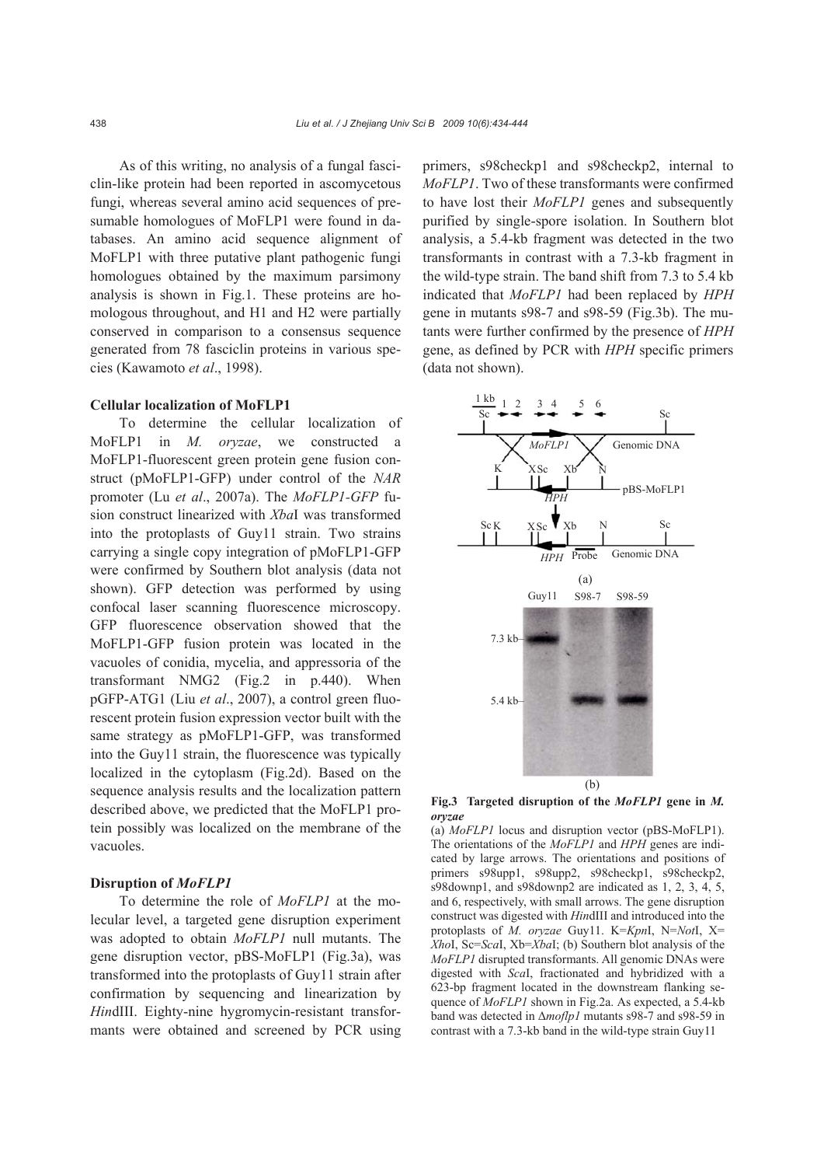As of this writing, no analysis of a fungal fasciclin-like protein had been reported in ascomycetous fungi, whereas several amino acid sequences of presumable homologues of MoFLP1 were found in databases. An amino acid sequence alignment of MoFLP1 with three putative plant pathogenic fungi homologues obtained by the maximum parsimony analysis is shown in Fig.1. These proteins are homologous throughout, and H1 and H2 were partially conserved in comparison to a consensus sequence generated from 78 fasciclin proteins in various species (Kawamoto *et al*., 1998).

#### **Cellular localization of MoFLP1**

To determine the cellular localization of MoFLP1 in *M. oryzae*, we constructed a MoFLP1-fluorescent green protein gene fusion construct (pMoFLP1-GFP) under control of the *NAR*  promoter (Lu *et al*., 2007a). The *MoFLP1-GFP* fusion construct linearized with *Xba*I was transformed into the protoplasts of Guy11 strain. Two strains carrying a single copy integration of pMoFLP1-GFP were confirmed by Southern blot analysis (data not shown). GFP detection was performed by using confocal laser scanning fluorescence microscopy. GFP fluorescence observation showed that the MoFLP1-GFP fusion protein was located in the vacuoles of conidia, mycelia, and appressoria of the transformant NMG2 (Fig.2 in p.440). When pGFP-ATG1 (Liu *et al*., 2007), a control green fluorescent protein fusion expression vector built with the same strategy as pMoFLP1-GFP, was transformed into the Guy11 strain, the fluorescence was typically localized in the cytoplasm (Fig.2d). Based on the sequence analysis results and the localization pattern described above, we predicted that the MoFLP1 protein possibly was localized on the membrane of the vacuoles.

## **Disruption of** *MoFLP1*

To determine the role of *MoFLP1* at the molecular level, a targeted gene disruption experiment was adopted to obtain *MoFLP1* null mutants. The gene disruption vector, pBS-MoFLP1 (Fig.3a), was transformed into the protoplasts of Guy11 strain after confirmation by sequencing and linearization by *Hin*dIII. Eighty-nine hygromycin-resistant transformants were obtained and screened by PCR using primers, s98checkp1 and s98checkp2, internal to *MoFLP1*. Two of these transformants were confirmed to have lost their *MoFLP1* genes and subsequently purified by single-spore isolation. In Southern blot analysis, a 5.4-kb fragment was detected in the two transformants in contrast with a 7.3-kb fragment in the wild-type strain. The band shift from 7.3 to 5.4 kb indicated that *MoFLP1* had been replaced by *HPH* gene in mutants s98-7 and s98-59 (Fig.3b). The mutants were further confirmed by the presence of *HPH* gene, as defined by PCR with *HPH* specific primers (data not shown).



**Fig.3 Targeted disruption of the** *MoFLP1* **gene in** *M. oryzae*

(a) *MoFLP1* locus and disruption vector (pBS-MoFLP1). The orientations of the *MoFLP1* and *HPH* genes are indicated by large arrows. The orientations and positions of primers s98upp1, s98upp2, s98checkp1, s98checkp2, s98downp1, and s98downp2 are indicated as 1, 2, 3, 4, 5, and 6, respectively, with small arrows. The gene disruption construct was digested with *Hin*dIII and introduced into the protoplasts of *M. oryzae* Guy11. K=*Kpn*I, N=*Not*I, X= *Xho*I, Sc=*Sca*I, Xb=*Xba*I; (b) Southern blot analysis of the *MoFLP1* disrupted transformants. All genomic DNAs were digested with *Sca*I, fractionated and hybridized with a 623-bp fragment located in the downstream flanking sequence of *MoFLP1* shown in Fig.2a. As expected, a 5.4-kb band was detected in Δ*moflp1* mutants s98-7 and s98-59 in contrast with a 7.3-kb band in the wild-type strain Guy11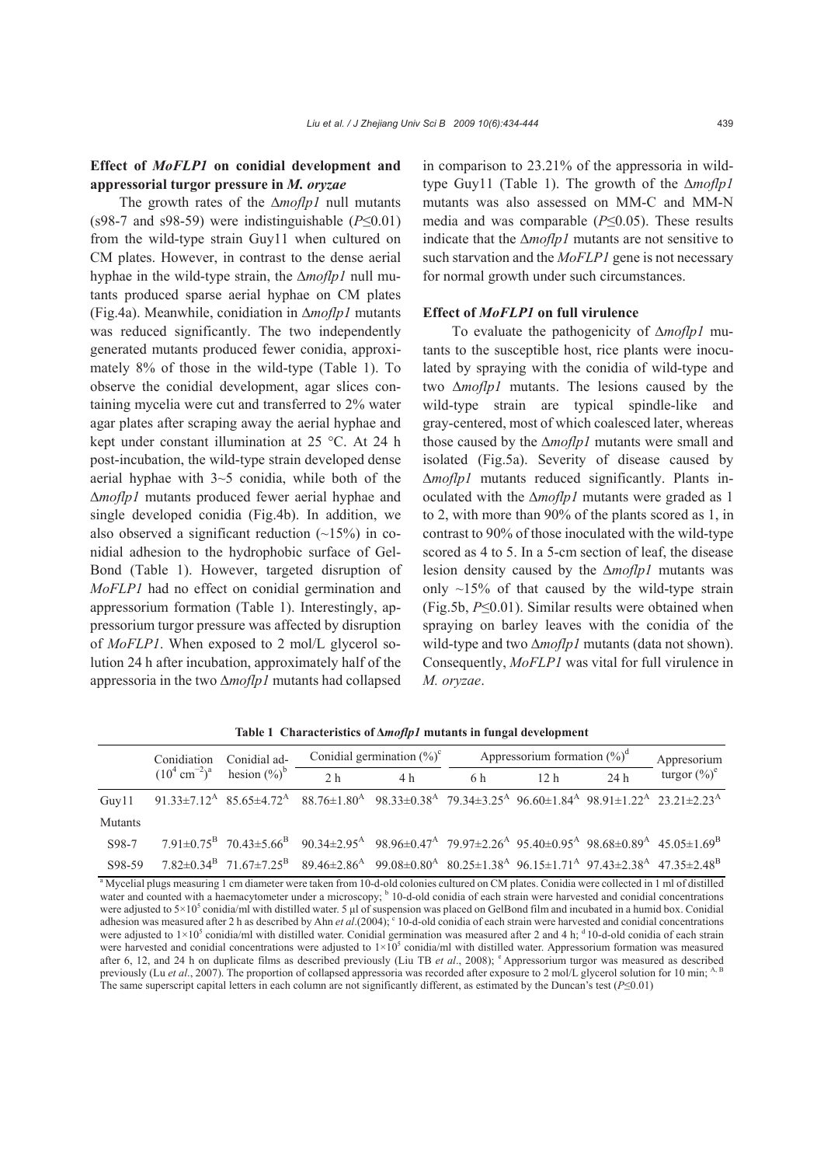## **Effect of** *MoFLP1* **on conidial development and appressorial turgor pressure in** *M. oryzae*

The growth rates of the ∆*moflp1* null mutants (s98-7 and s98-59) were indistinguishable (*P*≤0.01) from the wild-type strain Guy11 when cultured on CM plates. However, in contrast to the dense aerial hyphae in the wild-type strain, the ∆*moflp1* null mutants produced sparse aerial hyphae on CM plates (Fig.4a). Meanwhile, conidiation in ∆*moflp1* mutants was reduced significantly. The two independently generated mutants produced fewer conidia, approximately 8% of those in the wild-type (Table 1). To observe the conidial development, agar slices containing mycelia were cut and transferred to 2% water agar plates after scraping away the aerial hyphae and kept under constant illumination at 25 °C. At 24 h post-incubation, the wild-type strain developed dense aerial hyphae with 3~5 conidia, while both of the ∆*moflp1* mutants produced fewer aerial hyphae and single developed conidia (Fig.4b). In addition, we also observed a significant reduction  $(\sim 15\%)$  in conidial adhesion to the hydrophobic surface of Gel-Bond (Table 1). However, targeted disruption of *MoFLP1* had no effect on conidial germination and appressorium formation (Table 1). Interestingly, appressorium turgor pressure was affected by disruption of *MoFLP1*. When exposed to 2 mol/L glycerol solution 24 h after incubation, approximately half of the appressoria in the two ∆*moflp1* mutants had collapsed in comparison to 23.21% of the appressoria in wildtype Guy11 (Table 1). The growth of the ∆*moflp1* mutants was also assessed on MM-C and MM-N media and was comparable (*P*≤0.05). These results indicate that the ∆*moflp1* mutants are not sensitive to such starvation and the *MoFLP1* gene is not necessary for normal growth under such circumstances.

## **Effect of** *MoFLP1* **on full virulence**

To evaluate the pathogenicity of ∆*moflp1* mutants to the susceptible host, rice plants were inoculated by spraying with the conidia of wild-type and two ∆*moflp1* mutants. The lesions caused by the wild-type strain are typical spindle-like and gray-centered, most of which coalesced later, whereas those caused by the ∆*moflp1* mutants were small and isolated (Fig.5a). Severity of disease caused by ∆*moflp1* mutants reduced significantly. Plants inoculated with the ∆*moflp1* mutants were graded as 1 to 2, with more than 90% of the plants scored as 1, in contrast to 90% of those inoculated with the wild-type scored as 4 to 5. In a 5-cm section of leaf, the disease lesion density caused by the ∆*moflp1* mutants was only  $\sim$ 15% of that caused by the wild-type strain (Fig.5b, *P*≤0.01). Similar results were obtained when spraying on barley leaves with the conidia of the wild-type and two ∆*moflp1* mutants (data not shown). Consequently, *MoFLP1* was vital for full virulence in *M. oryzae*.

|         | Conidiation | Conidial ad-                               | Conidial germination $(\%)^c$                                                                                                                                                                                                                               |     | Appressorium formation $(\%)^d$ |                 |     | Appresorium     |
|---------|-------------|--------------------------------------------|-------------------------------------------------------------------------------------------------------------------------------------------------------------------------------------------------------------------------------------------------------------|-----|---------------------------------|-----------------|-----|-----------------|
|         |             | $(10^4 \text{ cm}^{-2})^a$ hesion $(\%)^b$ | 2 <sub>h</sub>                                                                                                                                                                                                                                              | 4 h | 6 h                             | 12 <sub>h</sub> | 24h | turgor $(\%)^e$ |
| Guv11   |             |                                            | $91.33 \pm 7.12^{\text{A}} \quad 85.65 \pm 4.72^{\text{A}} \quad 88.76 \pm 1.80^{\text{A}} \quad 98.33 \pm 0.38^{\text{A}} \quad 79.34 \pm 3.25^{\text{A}} \quad 96.60 \pm 1.84^{\text{A}} \quad 98.91 \pm 1.22^{\text{A}} \quad 23.21 \pm 2.23^{\text{A}}$ |     |                                 |                 |     |                 |
| Mutants |             |                                            |                                                                                                                                                                                                                                                             |     |                                 |                 |     |                 |
| S98-7   |             |                                            | $7.91\pm0.75^{B}$ $70.43\pm5.66^{B}$ $90.34\pm2.95^{A}$ $98.96\pm0.47^{A}$ $79.97\pm2.26^{A}$ $95.40\pm0.95^{A}$ $98.68\pm0.89^{A}$ $45.05\pm1.69^{B}$                                                                                                      |     |                                 |                 |     |                 |
| S98-59  |             |                                            | $7.82 \pm 0.34^B$ $71.67 \pm 7.25^B$ $89.46 \pm 2.86^A$ $99.08 \pm 0.80^A$ $80.25 \pm 1.38^A$ $96.15 \pm 1.71^A$ $97.43 \pm 2.38^A$ $47.35 \pm 2.48^B$                                                                                                      |     |                                 |                 |     |                 |

**Table 1 Characteristics of Δ***moflp1* **mutants in fungal development**

<sup>a</sup> Mycelial plugs measuring 1 cm diameter were taken from 10-d-old colonies cultured on CM plates. Conidia were collected in 1 ml of distilled water and counted with a haemacytometer under a microscopy; <sup>b</sup> 10-d-old conidia of each strain were harvested and conidial concentrations were adjusted to  $5\times10^5$  conidia/ml with distilled water. 5 µl of suspension was placed on GelBond film and incubated in a humid box. Conidial adhesion was measured after 2 h as described by Ahn *et al.*(2004); <sup>c</sup> 10-d-old conidia of each strain were harvested and conidial concentrations were adjusted to  $1\times10^5$  conidia/ml with distilled water. Conidial germination was measured after 2 and 4 h;  $\rm{^{4}}$  10-d-old conidia of each strain were harvested and conidial concentrations were adjusted to  $1\times10^5$  conidia/ml with distilled water. Appressorium formation was measured after 6, 12, and 24 h on duplicate films as described previously (Liu TB *et al.*, 2008); <sup>e</sup> Appressorium turgor was measured as described previously (Lu et al., 2007). The proportion of collapsed appressoria was recorded after exposure to 2 mol/L glycerol solution for 10 min; A The same superscript capital letters in each column are not significantly different, as estimated by the Duncan's test (*P*≤0.01)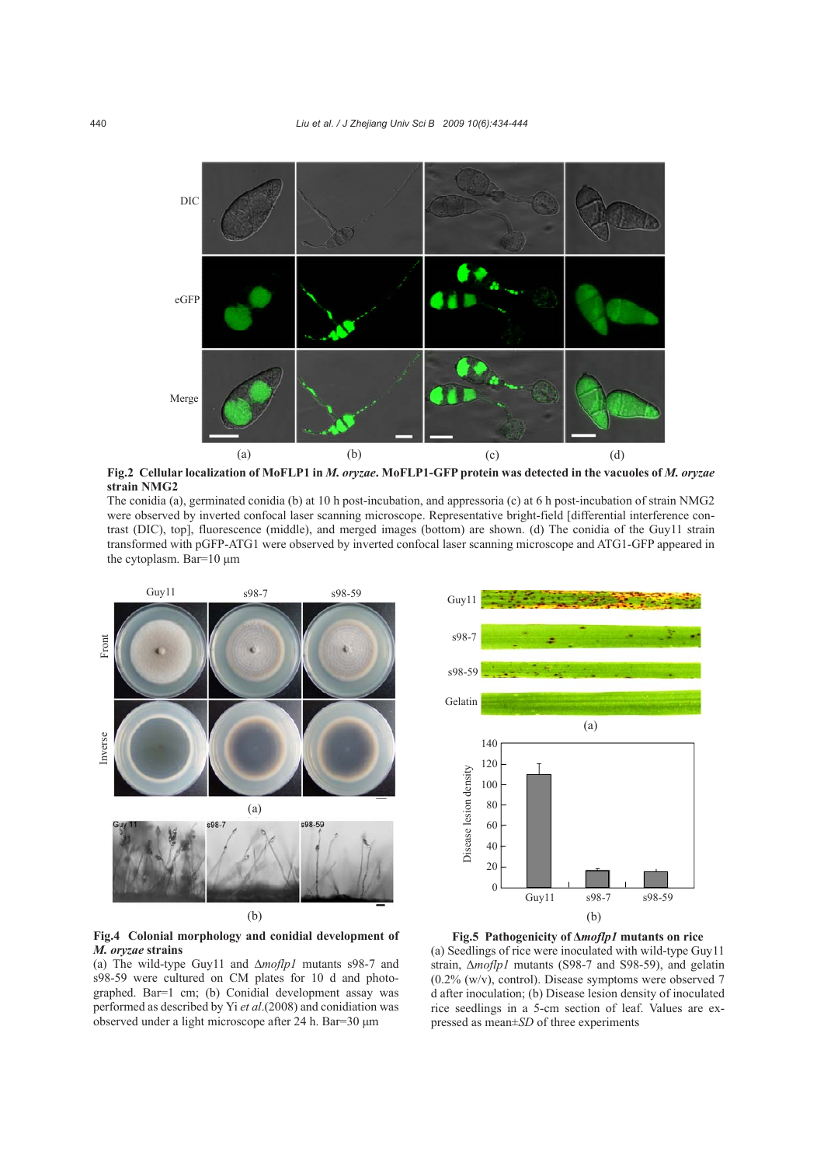

**Fig.2 Cellular localization of MoFLP1 in** *M. oryzae***. MoFLP1-GFP protein was detected in the vacuoles of** *M. oryzae* **strain NMG2** 

The conidia (a), germinated conidia (b) at 10 h post-incubation, and appressoria (c) at 6 h post-incubation of strain NMG2 were observed by inverted confocal laser scanning microscope. Representative bright-field [differential interference contrast (DIC), top], fluorescence (middle), and merged images (bottom) are shown. (d) The conidia of the Guy11 strain transformed with pGFP-ATG1 were observed by inverted confocal laser scanning microscope and ATG1-GFP appeared in the cytoplasm. Bar=10 μm



**Fig.4 Colonial morphology and conidial development of**  *M. oryzae* **strains** 

(a) The wild-type Guy11 and ∆*moflp1* mutants s98-7 and s98-59 were cultured on CM plates for 10 d and photographed. Bar=1 cm; (b) Conidial development assay was performed as described by Yi *et al*.(2008) and conidiation was observed under a light microscope after 24 h. Bar=30 μm



**Fig.5 Pathogenicity of Δ***moflp1* **mutants on rice**  (a) Seedlings of rice were inoculated with wild-type Guy11 strain, Δ*moflp1* mutants (S98-7 and S98-59), and gelatin  $(0.2\%$  (w/v), control). Disease symptoms were observed 7 d after inoculation; (b) Disease lesion density of inoculated rice seedlings in a 5-cm section of leaf. Values are expressed as mean±*SD* of three experiments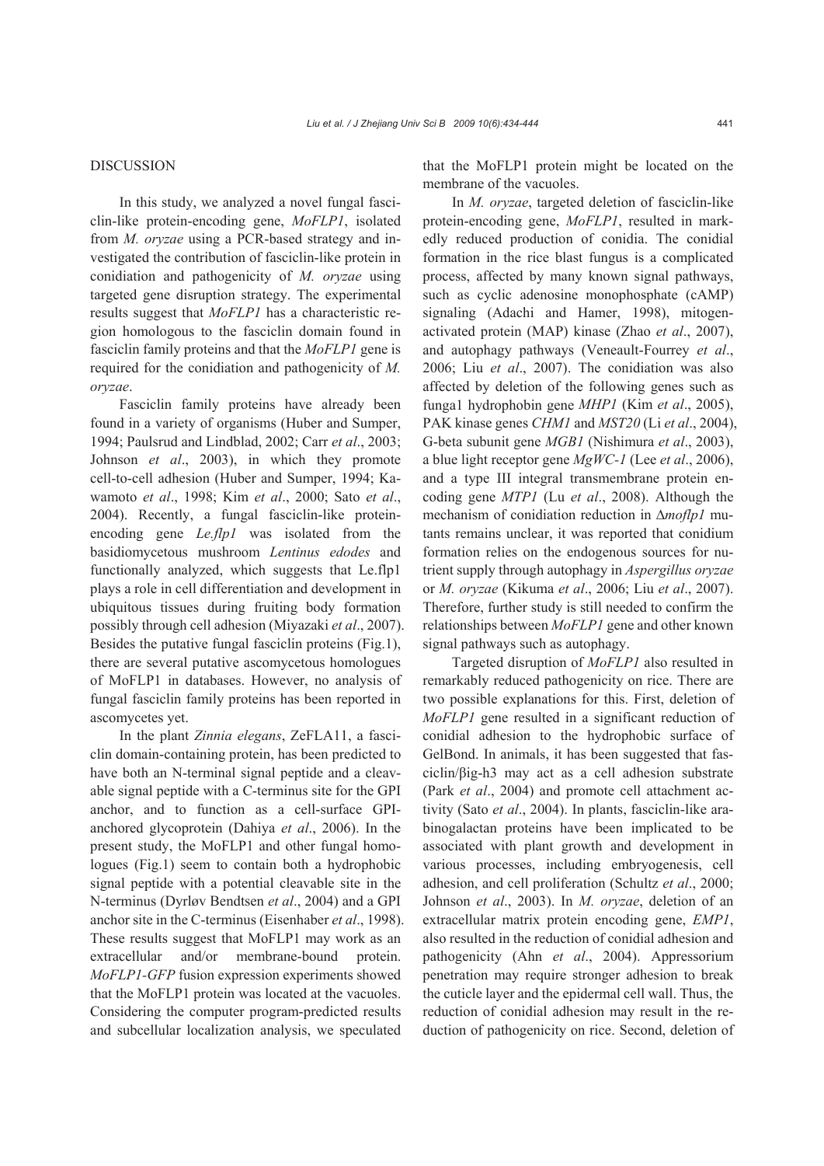#### DISCUSSION

In this study, we analyzed a novel fungal fasciclin-like protein-encoding gene, *MoFLP1*, isolated from *M. oryzae* using a PCR-based strategy and investigated the contribution of fasciclin-like protein in conidiation and pathogenicity of *M. oryzae* using targeted gene disruption strategy. The experimental results suggest that *MoFLP1* has a characteristic region homologous to the fasciclin domain found in fasciclin family proteins and that the *MoFLP1* gene is required for the conidiation and pathogenicity of *M. oryzae*.

Fasciclin family proteins have already been found in a variety of organisms (Huber and Sumper, 1994; Paulsrud and Lindblad, 2002; Carr *et al*., 2003; Johnson *et al*., 2003), in which they promote cell-to-cell adhesion (Huber and Sumper, 1994; Kawamoto *et al*., 1998; Kim *et al*., 2000; Sato *et al*., 2004). Recently, a fungal fasciclin-like proteinencoding gene *Le.flp1* was isolated from the basidiomycetous mushroom *Lentinus edodes* and functionally analyzed, which suggests that Le.flp1 plays a role in cell differentiation and development in ubiquitous tissues during fruiting body formation possibly through cell adhesion (Miyazaki *et al*., 2007). Besides the putative fungal fasciclin proteins (Fig.1), there are several putative ascomycetous homologues of MoFLP1 in databases. However, no analysis of fungal fasciclin family proteins has been reported in ascomycetes yet.

In the plant *Zinnia elegans*, ZeFLA11, a fasciclin domain-containing protein, has been predicted to have both an N-terminal signal peptide and a cleavable signal peptide with a C-terminus site for the GPI anchor, and to function as a cell-surface GPIanchored glycoprotein (Dahiya *et al*., 2006). In the present study, the MoFLP1 and other fungal homologues (Fig.1) seem to contain both a hydrophobic signal peptide with a potential cleavable site in the N-terminus (Dyrløv Bendtsen *et al*., 2004) and a GPI anchor site in the C-terminus (Eisenhaber *et al*., 1998). These results suggest that MoFLP1 may work as an extracellular and/or membrane-bound protein. *MoFLP1-GFP* fusion expression experiments showed that the MoFLP1 protein was located at the vacuoles. Considering the computer program-predicted results and subcellular localization analysis, we speculated

that the MoFLP1 protein might be located on the membrane of the vacuoles.

In *M. oryzae*, targeted deletion of fasciclin-like protein-encoding gene, *MoFLP1*, resulted in markedly reduced production of conidia. The conidial formation in the rice blast fungus is a complicated process, affected by many known signal pathways, such as cyclic adenosine monophosphate (cAMP) signaling (Adachi and Hamer, 1998), mitogenactivated protein (MAP) kinase (Zhao *et al*., 2007), and autophagy pathways (Veneault-Fourrey *et al*., 2006; Liu *et al*., 2007). The conidiation was also affected by deletion of the following genes such as funga1 hydrophobin gene *MHP1* (Kim *et al*., 2005), PAK kinase genes *CHM1* and *MST20* (Li *et al*., 2004), G-beta subunit gene *MGB1* (Nishimura *et al*., 2003), a blue light receptor gene *MgWC-1* (Lee *et al*., 2006), and a type III integral transmembrane protein encoding gene *MTP1* (Lu *et al*., 2008). Although the mechanism of conidiation reduction in ∆*moflp1* mutants remains unclear, it was reported that conidium formation relies on the endogenous sources for nutrient supply through autophagy in *Aspergillus oryzae* or *M. oryzae* (Kikuma *et al*., 2006; Liu *et al*., 2007). Therefore, further study is still needed to confirm the relationships between *MoFLP1* gene and other known signal pathways such as autophagy.

Targeted disruption of *MoFLP1* also resulted in remarkably reduced pathogenicity on rice. There are two possible explanations for this. First, deletion of *MoFLP1* gene resulted in a significant reduction of conidial adhesion to the hydrophobic surface of GelBond. In animals, it has been suggested that fasciclin/βig-h3 may act as a cell adhesion substrate (Park *et al*., 2004) and promote cell attachment activity (Sato *et al*., 2004). In plants, fasciclin-like arabinogalactan proteins have been implicated to be associated with plant growth and development in various processes, including embryogenesis, cell adhesion, and cell proliferation (Schultz *et al*., 2000; Johnson *et al*., 2003). In *M. oryzae*, deletion of an extracellular matrix protein encoding gene, *EMP1*, also resulted in the reduction of conidial adhesion and pathogenicity (Ahn *et al*., 2004). Appressorium penetration may require stronger adhesion to break the cuticle layer and the epidermal cell wall. Thus, the reduction of conidial adhesion may result in the reduction of pathogenicity on rice. Second, deletion of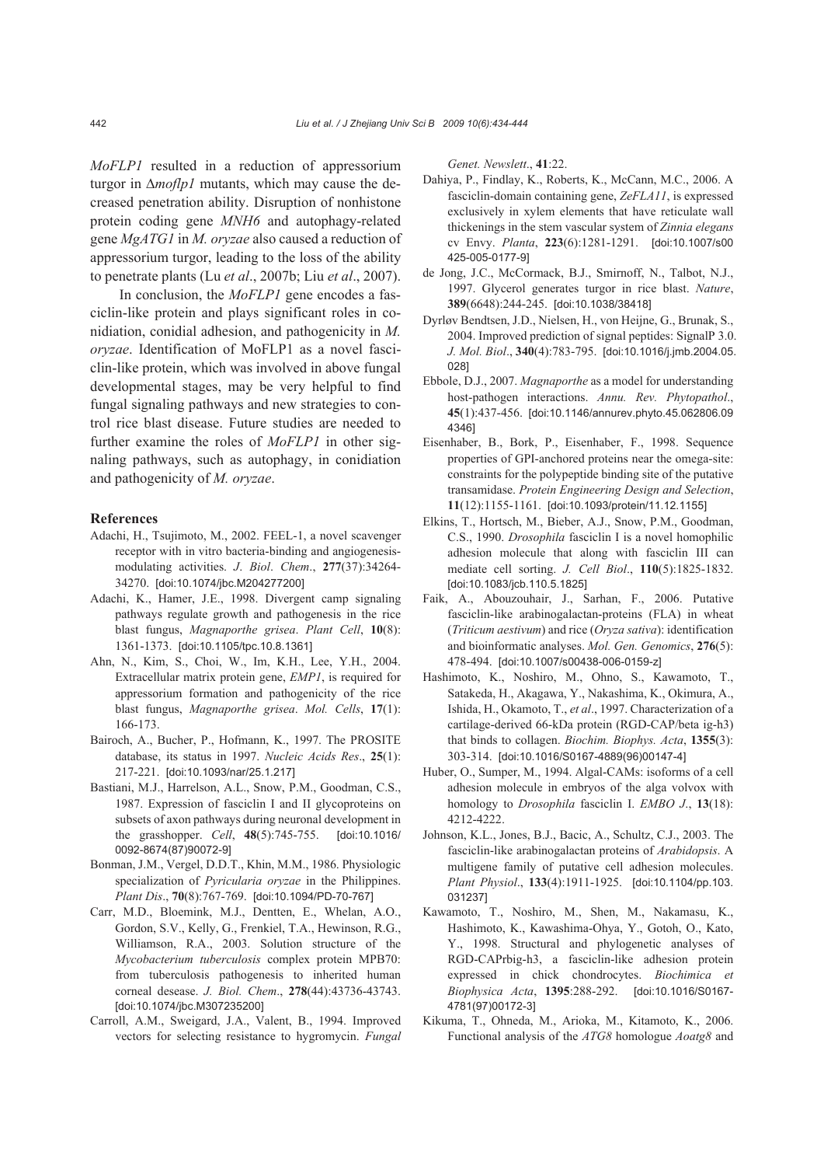*MoFLP1* resulted in a reduction of appressorium turgor in ∆*moflp1* mutants, which may cause the decreased penetration ability. Disruption of nonhistone protein coding gene *MNH6* and autophagy-related gene *MgATG1* in *M. oryzae* also caused a reduction of appressorium turgor, leading to the loss of the ability to penetrate plants (Lu *et al*., 2007b; Liu *et al*., 2007).

In conclusion, the *MoFLP1* gene encodes a fasciclin-like protein and plays significant roles in conidiation, conidial adhesion, and pathogenicity in *M. oryzae*. Identification of MoFLP1 as a novel fasciclin-like protein, which was involved in above fungal developmental stages, may be very helpful to find fungal signaling pathways and new strategies to control rice blast disease. Future studies are needed to further examine the roles of *MoFLP1* in other signaling pathways, such as autophagy, in conidiation and pathogenicity of *M. oryzae*.

#### **References**

- Adachi, H., Tsujimoto, M., 2002. FEEL-1, a novel scavenger receptor with in vitro bacteria-binding and angiogenesismodulating activities. *J*. *Biol*. *Chem*., **277**(37):34264- 34270. [doi:10.1074/jbc.M204277200]
- Adachi, K., Hamer, J.E., 1998. Divergent camp signaling pathways regulate growth and pathogenesis in the rice blast fungus, *Magnaporthe grisea*. *Plant Cell*, **10**(8): 1361-1373. [doi:10.1105/tpc.10.8.1361]
- Ahn, N., Kim, S., Choi, W., Im, K.H., Lee, Y.H., 2004. Extracellular matrix protein gene, *EMP1*, is required for appressorium formation and pathogenicity of the rice blast fungus, *Magnaporthe grisea*. *Mol. Cells*, **17**(1): 166-173.
- Bairoch, A., Bucher, P., Hofmann, K., 1997. The PROSITE database, its status in 1997. *Nucleic Acids Res*., **25**(1): 217-221. [doi:10.1093/nar/25.1.217]
- Bastiani, M.J., Harrelson, A.L., Snow, P.M., Goodman, C.S., 1987. Expression of fasciclin I and II glycoproteins on subsets of axon pathways during neuronal development in the grasshopper. *Cell*, **48**(5):745-755. [doi:10.1016/ 0092-8674(87)90072-9]
- Bonman, J.M., Vergel, D.D.T., Khin, M.M., 1986. Physiologic specialization of *Pyricularia oryzae* in the Philippines. *Plant Dis*., **70**(8):767-769. [doi:10.1094/PD-70-767]
- Carr, M.D., Bloemink, M.J., Dentten, E., Whelan, A.O., Gordon, S.V., Kelly, G., Frenkiel, T.A., Hewinson, R.G., Williamson, R.A., 2003. Solution structure of the *Mycobacterium tuberculosis* complex protein MPB70: from tuberculosis pathogenesis to inherited human corneal desease. *J. Biol. Chem*., **278**(44):43736-43743. [doi:10.1074/jbc.M307235200]
- Carroll, A.M., Sweigard, J.A., Valent, B., 1994. Improved vectors for selecting resistance to hygromycin. *Fungal*

*Genet. Newslett*., **41**:22.

- Dahiya, P., Findlay, K., Roberts, K., McCann, M.C., 2006. A fasciclin-domain containing gene, *ZeFLA11*, is expressed exclusively in xylem elements that have reticulate wall thickenings in the stem vascular system of *Zinnia elegans* cv Envy. *Planta*, **223**(6):1281-1291. [doi:10.1007/s00 425-005-0177-9]
- de Jong, J.C., McCormack, B.J., Smirnoff, N., Talbot, N.J., 1997. Glycerol generates turgor in rice blast. *Nature*, **389**(6648):244-245. [doi:10.1038/38418]
- Dyrløv Bendtsen, J.D., Nielsen, H., von Heijne, G., Brunak, S., 2004. Improved prediction of signal peptides: SignalP 3.0. *J. Mol. Biol*., **340**(4):783-795. [doi:10.1016/j.jmb.2004.05. 028]
- Ebbole, D.J., 2007. *Magnaporthe* as a model for understanding host-pathogen interactions. *Annu. Rev. Phytopathol*., **45**(1):437-456. [doi:10.1146/annurev.phyto.45.062806.09 4346]
- Eisenhaber, B., Bork, P., Eisenhaber, F., 1998. Sequence properties of GPI-anchored proteins near the omega-site: constraints for the polypeptide binding site of the putative transamidase. *Protein Engineering Design and Selection*, **11**(12):1155-1161. [doi:10.1093/protein/11.12.1155]
- Elkins, T., Hortsch, M., Bieber, A.J., Snow, P.M., Goodman, C.S., 1990. *Drosophila* fasciclin I is a novel homophilic adhesion molecule that along with fasciclin III can mediate cell sorting. *J. Cell Biol*., **110**(5):1825-1832. [doi:10.1083/jcb.110.5.1825]
- Faik, A., Abouzouhair, J., Sarhan, F., 2006. Putative fasciclin-like arabinogalactan-proteins (FLA) in wheat (*Triticum aestivum*) and rice (*Oryza sativa*): identification and bioinformatic analyses. *Mol. Gen. Genomics*, **276**(5): 478-494. [doi:10.1007/s00438-006-0159-z]
- Hashimoto, K., Noshiro, M., Ohno, S., Kawamoto, T., Satakeda, H., Akagawa, Y., Nakashima, K., Okimura, A., Ishida, H., Okamoto, T., *et al*., 1997. Characterization of a cartilage-derived 66-kDa protein (RGD-CAP/beta ig-h3) that binds to collagen. *Biochim. Biophys. Acta*, **1355**(3): 303-314. [doi:10.1016/S0167-4889(96)00147-4]
- Huber, O., Sumper, M., 1994. Algal-CAMs: isoforms of a cell adhesion molecule in embryos of the alga volvox with homology to *Drosophila* fasciclin I. *EMBO J*., **13**(18): 4212-4222.
- Johnson, K.L., Jones, B.J., Bacic, A., Schultz, C.J., 2003. The fasciclin-like arabinogalactan proteins of *Arabidopsis*. A multigene family of putative cell adhesion molecules. *Plant Physiol*., **133**(4):1911-1925. [doi:10.1104/pp.103. 031237]
- Kawamoto, T., Noshiro, M., Shen, M., Nakamasu, K., Hashimoto, K., Kawashima-Ohya, Y., Gotoh, O., Kato, Y., 1998. Structural and phylogenetic analyses of RGD-CAPrbig-h3, a fasciclin-like adhesion protein expressed in chick chondrocytes. *Biochimica et Biophysica Acta*, **1395**:288-292. [doi:10.1016/S0167- 4781(97)00172-3]
- Kikuma, T., Ohneda, M., Arioka, M., Kitamoto, K., 2006. Functional analysis of the *ATG8* homologue *Aoatg8* and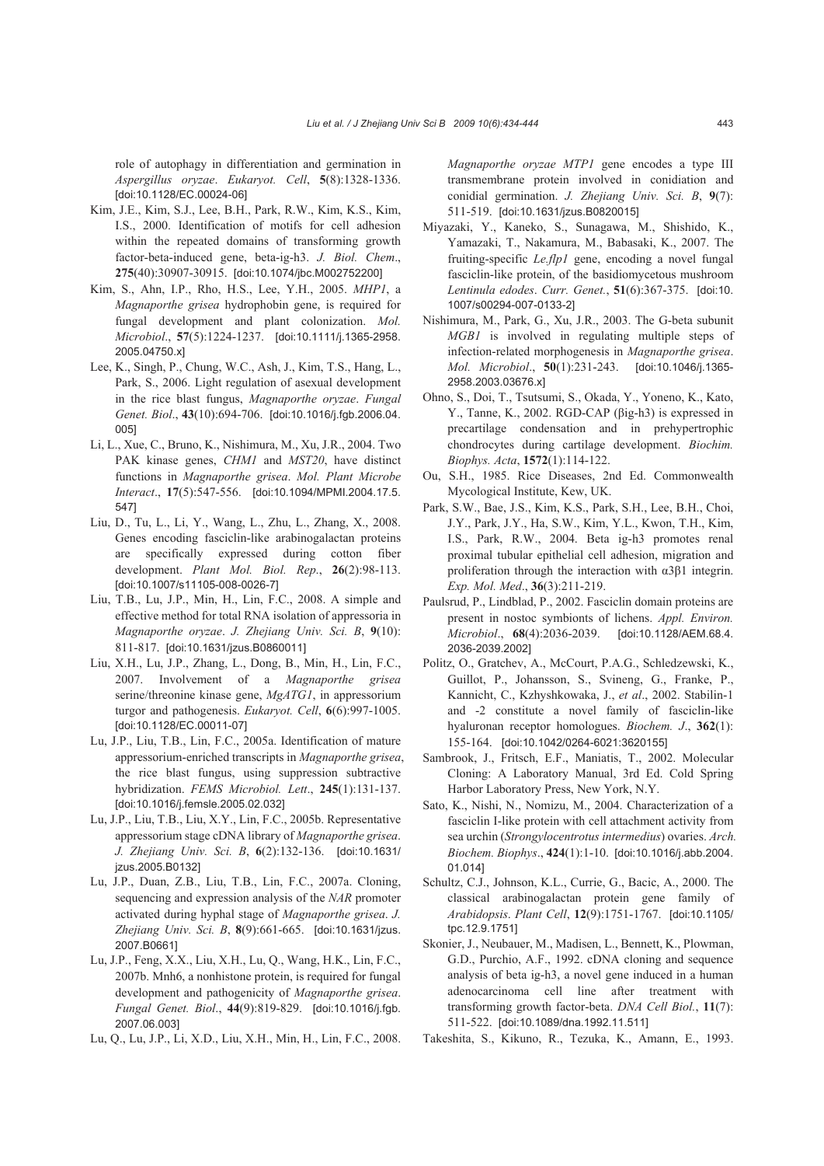role of autophagy in differentiation and germination in *Aspergillus oryzae*. *Eukaryot. Cell*, **5**(8):1328-1336. [doi:10.1128/EC.00024-06]

- Kim, J.E., Kim, S.J., Lee, B.H., Park, R.W., Kim, K.S., Kim, I.S., 2000. Identification of motifs for cell adhesion within the repeated domains of transforming growth factor-beta-induced gene, beta-ig-h3. *J. Biol. Chem*., **275**(40):30907-30915. [doi:10.1074/jbc.M002752200]
- Kim, S., Ahn, I.P., Rho, H.S., Lee, Y.H., 2005. *MHP1*, a *Magnaporthe grisea* hydrophobin gene, is required for fungal development and plant colonization. *Mol. Microbiol*., **57**(5):1224-1237. [doi:10.1111/j.1365-2958. 2005.04750.x]
- Lee, K., Singh, P., Chung, W.C., Ash, J., Kim, T.S., Hang, L., Park, S., 2006. Light regulation of asexual development in the rice blast fungus, *Magnaporthe oryzae*. *Fungal Genet. Biol*., **43**(10):694-706. [doi:10.1016/j.fgb.2006.04. 005]
- Li, L., Xue, C., Bruno, K., Nishimura, M., Xu, J.R., 2004. Two PAK kinase genes, *CHM1* and *MST20*, have distinct functions in *Magnaporthe grisea*. *Mol. Plant Microbe Interact*., **17**(5):547-556. [doi:10.1094/MPMI.2004.17.5. 547]
- Liu, D., Tu, L., Li, Y., Wang, L., Zhu, L., Zhang, X., 2008. Genes encoding fasciclin-like arabinogalactan proteins are specifically expressed during cotton fiber development. *Plant Mol. Biol. Rep*., **26**(2):98-113. [doi:10.1007/s11105-008-0026-7]
- Liu, T.B., Lu, J.P., Min, H., Lin, F.C., 2008. A simple and effective method for total RNA isolation of appressoria in *Magnaporthe oryzae*. *J. Zhejiang Univ. Sci. B*, **9**(10): 811-817. [doi:10.1631/jzus.B0860011]
- Liu, X.H., Lu, J.P., Zhang, L., Dong, B., Min, H., Lin, F.C., 2007. Involvement of a *Magnaporthe grisea*  serine/threonine kinase gene, *MgATG1*, in appressorium turgor and pathogenesis. *Eukaryot. Cell*, **6**(6):997-1005. [doi:10.1128/EC.00011-07]
- Lu, J.P., Liu, T.B., Lin, F.C., 2005a. Identification of mature appressorium-enriched transcripts in *Magnaporthe grisea*, the rice blast fungus, using suppression subtractive hybridization. *FEMS Microbiol. Lett*., **245**(1):131-137. [doi:10.1016/j.femsle.2005.02.032]
- Lu, J.P., Liu, T.B., Liu, X.Y., Lin, F.C., 2005b. Representative appressorium stage cDNA library of *Magnaporthe grisea*. *J. Zhejiang Univ. Sci. B*, **6**(2):132-136. [doi:10.1631/ jzus.2005.B0132]
- Lu, J.P., Duan, Z.B., Liu, T.B., Lin, F.C., 2007a. Cloning, sequencing and expression analysis of the *NAR* promoter activated during hyphal stage of *Magnaporthe grisea*. *J. Zhejiang Univ. Sci. B*, **8**(9):661-665. [doi:10.1631/jzus. 2007.B0661]
- Lu, J.P., Feng, X.X., Liu, X.H., Lu, Q., Wang, H.K., Lin, F.C., 2007b. Mnh6, a nonhistone protein, is required for fungal development and pathogenicity of *Magnaporthe grisea*. *Fungal Genet. Biol*., **44**(9):819-829. [doi:10.1016/j.fgb. 2007.06.003]
- Lu, Q., Lu, J.P., Li, X.D., Liu, X.H., Min, H., Lin, F.C., 2008.

*Magnaporthe oryzae MTP1* gene encodes a type III transmembrane protein involved in conidiation and conidial germination. *J. Zhejiang Univ. Sci. B*, **9**(7): 511-519. [doi:10.1631/jzus.B0820015]

- Miyazaki, Y., Kaneko, S., Sunagawa, M., Shishido, K., Yamazaki, T., Nakamura, M., Babasaki, K., 2007. The fruiting-specific *Le.flp1* gene, encoding a novel fungal fasciclin-like protein, of the basidiomycetous mushroom *Lentinula edodes*. *Curr. Genet.*, **51**(6):367-375. [doi:10. 1007/s00294-007-0133-2]
- Nishimura, M., Park, G., Xu, J.R., 2003. The G-beta subunit *MGB1* is involved in regulating multiple steps of infection-related morphogenesis in *Magnaporthe grisea*. *Mol. Microbiol*., **50**(1):231-243. [doi:10.1046/j.1365- 2958.2003.03676.x]
- Ohno, S., Doi, T., Tsutsumi, S., Okada, Y., Yoneno, K., Kato, Y., Tanne, K., 2002. RGD-CAP (βig-h3) is expressed in precartilage condensation and in prehypertrophic chondrocytes during cartilage development. *Biochim. Biophys. Acta*, **1572**(1):114-122.
- Ou, S.H., 1985. Rice Diseases, 2nd Ed. Commonwealth Mycological Institute, Kew, UK.
- Park, S.W., Bae, J.S., Kim, K.S., Park, S.H., Lee, B.H., Choi, J.Y., Park, J.Y., Ha, S.W., Kim, Y.L., Kwon, T.H., Kim, I.S., Park, R.W., 2004. Beta ig-h3 promotes renal proximal tubular epithelial cell adhesion, migration and proliferation through the interaction with α3β1 integrin. *Exp. Mol. Med*., **36**(3):211-219.
- Paulsrud, P., Lindblad, P., 2002. Fasciclin domain proteins are present in nostoc symbionts of lichens. *Appl. Environ. Microbiol*., **68**(4):2036-2039. [doi:10.1128/AEM.68.4. 2036-2039.2002]
- Politz, O., Gratchev, A., McCourt, P.A.G., Schledzewski, K., Guillot, P., Johansson, S., Svineng, G., Franke, P., Kannicht, C., Kzhyshkowaka, J., *et al*., 2002. Stabilin-1 and -2 constitute a novel family of fasciclin-like hyaluronan receptor homologues. *Biochem. J*., **362**(1): 155-164. [doi:10.1042/0264-6021:3620155]
- Sambrook, J., Fritsch, E.F., Maniatis, T., 2002. Molecular Cloning: A Laboratory Manual, 3rd Ed. Cold Spring Harbor Laboratory Press, New York, N.Y.
- Sato, K., Nishi, N., Nomizu, M., 2004. Characterization of a fasciclin I-like protein with cell attachment activity from sea urchin (*Strongylocentrotus intermedius*) ovaries. *Arch. Biochem. Biophys*., **424**(1):1-10. [doi:10.1016/j.abb.2004. 01.014]
- Schultz, C.J., Johnson, K.L., Currie, G., Bacic, A., 2000. The classical arabinogalactan protein gene family of *Arabidopsis*. *Plant Cell*, **12**(9):1751-1767. [doi:10.1105/ tpc.12.9.1751]
- Skonier, J., Neubauer, M., Madisen, L., Bennett, K., Plowman, G.D., Purchio, A.F., 1992. cDNA cloning and sequence analysis of beta ig-h3, a novel gene induced in a human adenocarcinoma cell line after treatment with transforming growth factor-beta. *DNA Cell Biol.*, **11**(7): 511-522. [doi:10.1089/dna.1992.11.511]
- Takeshita, S., Kikuno, R., Tezuka, K., Amann, E., 1993.